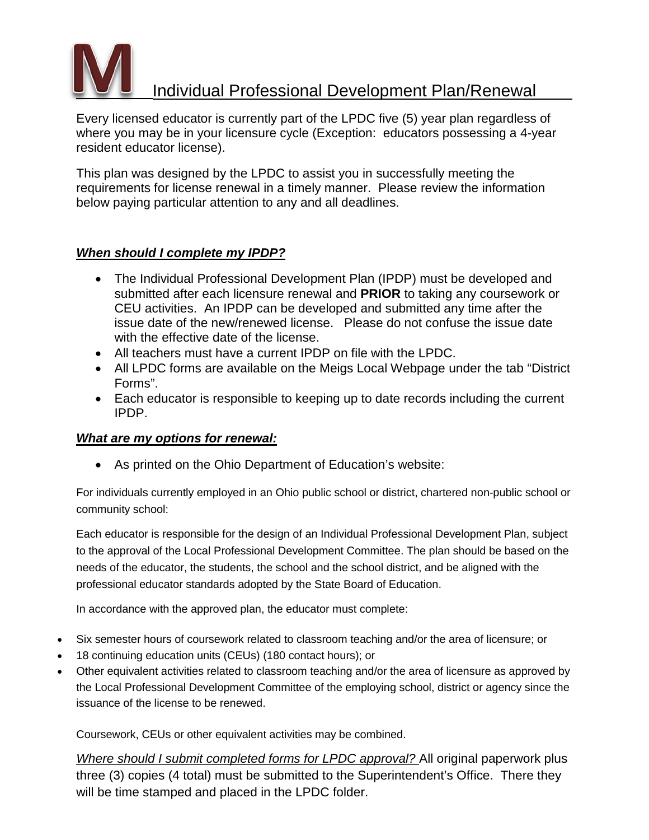

# Individual Professional Development Plan/Renewal

Every licensed educator is currently part of the LPDC five (5) year plan regardless of where you may be in your licensure cycle (Exception: educators possessing a 4-year resident educator license).

This plan was designed by the LPDC to assist you in successfully meeting the requirements for license renewal in a timely manner. Please review the information below paying particular attention to any and all deadlines.

## *When should I complete my IPDP?*

- The Individual Professional Development Plan (IPDP) must be developed and submitted after each licensure renewal and **PRIOR** to taking any coursework or CEU activities. An IPDP can be developed and submitted any time after the issue date of the new/renewed license. Please do not confuse the issue date with the effective date of the license.
- All teachers must have a current IPDP on file with the LPDC.
- All LPDC forms are available on the Meigs Local Webpage under the tab "District Forms".
- Each educator is responsible to keeping up to date records including the current IPDP.

## *What are my options for renewal:*

• As printed on the Ohio Department of Education's website:

For individuals currently employed in an Ohio public school or district, chartered non-public school or community school:

Each educator is responsible for the design of an Individual Professional Development Plan, subject to the approval of the Local Professional Development Committee. The plan should be based on the needs of the educator, the students, the school and the school district, and be aligned with the professional educator standards adopted by the State Board of Education.

In accordance with the approved plan, the educator must complete:

- Six semester hours of coursework related to classroom teaching and/or the area of licensure; or
- 18 continuing education units (CEUs) (180 contact hours); or
- Other equivalent activities related to classroom teaching and/or the area of licensure as approved by the Local Professional Development Committee of the employing school, district or agency since the issuance of the license to be renewed.

Coursework, CEUs or other equivalent activities may be combined.

*Where should I submit completed forms for LPDC approval?* All original paperwork plus three (3) copies (4 total) must be submitted to the Superintendent's Office. There they will be time stamped and placed in the LPDC folder.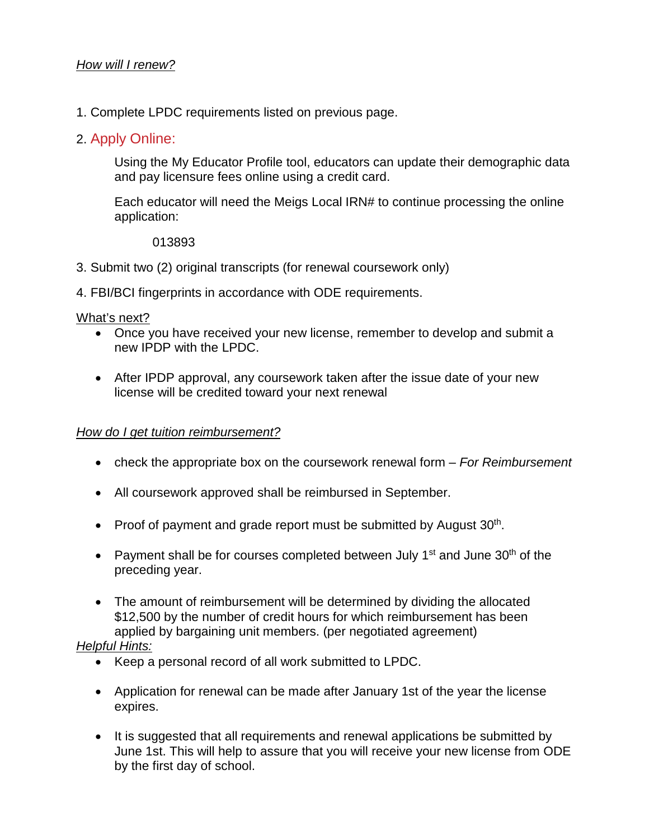1. Complete LPDC requirements listed on previous page.

## 2. Apply Online:

Using the My Educator Profile tool, educators can update their demographic data and pay licensure fees online using a credit card.

Each educator will need the Meigs Local IRN# to continue processing the online application:

013893

- 3. Submit two (2) original transcripts (for renewal coursework only)
- 4. FBI/BCI fingerprints in accordance with ODE requirements.

## What's next?

- Once you have received your new license, remember to develop and submit a new IPDP with the LPDC.
- After IPDP approval, any coursework taken after the issue date of your new license will be credited toward your next renewal

## *How do I get tuition reimbursement?*

- check the appropriate box on the coursework renewal form *For Reimbursement*
- All coursework approved shall be reimbursed in September.
- Proof of payment and grade report must be submitted by August  $30<sup>th</sup>$ .
- Payment shall be for courses completed between July 1<sup>st</sup> and June  $30<sup>th</sup>$  of the preceding year.
- The amount of reimbursement will be determined by dividing the allocated \$12,500 by the number of credit hours for which reimbursement has been applied by bargaining unit members. (per negotiated agreement)

## *Helpful Hints:*

- Keep a personal record of all work submitted to LPDC.
- Application for renewal can be made after January 1st of the year the license expires.
- It is suggested that all requirements and renewal applications be submitted by June 1st. This will help to assure that you will receive your new license from ODE by the first day of school.